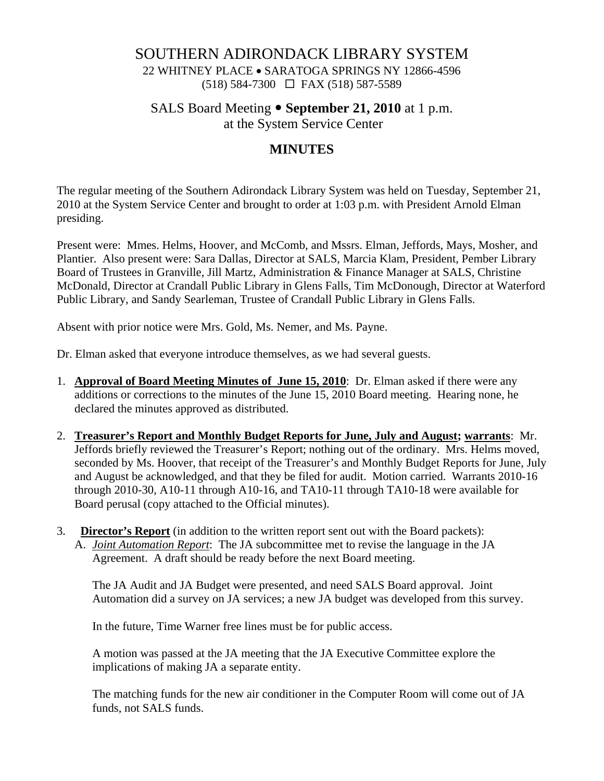## SOUTHERN ADIRONDACK LIBRARY SYSTEM

22 WHITNEY PLACE • SARATOGA SPRINGS NY 12866-4596 (518) 584-7300 FAX (518) 587-5589

SALS Board Meeting • **September 21, 2010** at 1 p.m.

at the System Service Center

# **MINUTES**

The regular meeting of the Southern Adirondack Library System was held on Tuesday, September 21, 2010 at the System Service Center and brought to order at 1:03 p.m. with President Arnold Elman presiding.

Present were: Mmes. Helms, Hoover, and McComb, and Mssrs. Elman, Jeffords, Mays, Mosher, and Plantier. Also present were: Sara Dallas, Director at SALS, Marcia Klam, President, Pember Library Board of Trustees in Granville, Jill Martz, Administration & Finance Manager at SALS, Christine McDonald, Director at Crandall Public Library in Glens Falls, Tim McDonough, Director at Waterford Public Library, and Sandy Searleman, Trustee of Crandall Public Library in Glens Falls.

Absent with prior notice were Mrs. Gold, Ms. Nemer, and Ms. Payne.

Dr. Elman asked that everyone introduce themselves, as we had several guests.

- 1. **Approval of Board Meeting Minutes of June 15, 2010**: Dr. Elman asked if there were any additions or corrections to the minutes of the June 15, 2010 Board meeting. Hearing none, he declared the minutes approved as distributed.
- 2. **Treasurer's Report and Monthly Budget Reports for June, July and August; warrants**: Mr. Jeffords briefly reviewed the Treasurer's Report; nothing out of the ordinary. Mrs. Helms moved, seconded by Ms. Hoover, that receipt of the Treasurer's and Monthly Budget Reports for June, July and August be acknowledged, and that they be filed for audit. Motion carried. Warrants 2010-16 through 2010-30, A10-11 through A10-16, and TA10-11 through TA10-18 were available for Board perusal (copy attached to the Official minutes).
- 3. **Director's Report** (in addition to the written report sent out with the Board packets): A. *Joint Automation Report*: The JA subcommittee met to revise the language in the JA Agreement. A draft should be ready before the next Board meeting.

The JA Audit and JA Budget were presented, and need SALS Board approval. Joint Automation did a survey on JA services; a new JA budget was developed from this survey.

In the future, Time Warner free lines must be for public access.

A motion was passed at the JA meeting that the JA Executive Committee explore the implications of making JA a separate entity.

The matching funds for the new air conditioner in the Computer Room will come out of JA funds, not SALS funds.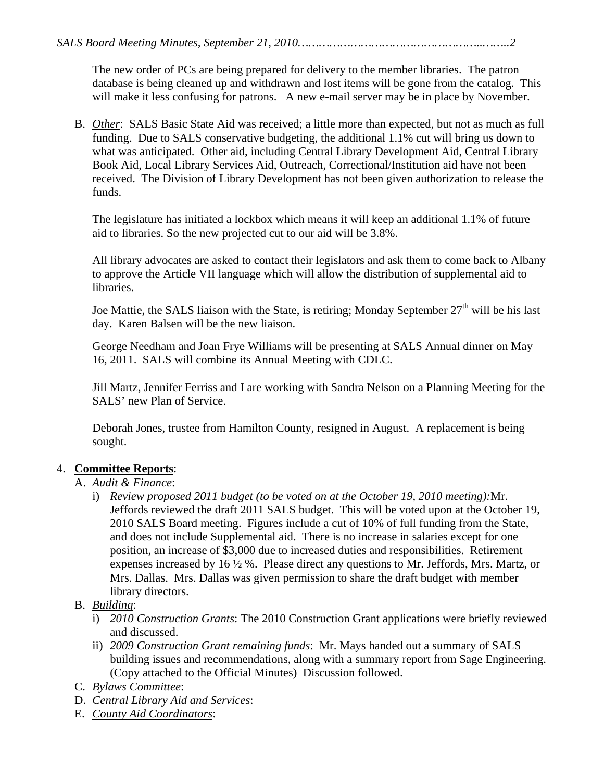The new order of PCs are being prepared for delivery to the member libraries. The patron database is being cleaned up and withdrawn and lost items will be gone from the catalog. This will make it less confusing for patrons. A new e-mail server may be in place by November.

B. *Other*: SALS Basic State Aid was received; a little more than expected, but not as much as full funding. Due to SALS conservative budgeting, the additional 1.1% cut will bring us down to what was anticipated. Other aid, including Central Library Development Aid, Central Library Book Aid, Local Library Services Aid, Outreach, Correctional/Institution aid have not been received. The Division of Library Development has not been given authorization to release the funds.

The legislature has initiated a lockbox which means it will keep an additional 1.1% of future aid to libraries. So the new projected cut to our aid will be 3.8%.

All library advocates are asked to contact their legislators and ask them to come back to Albany to approve the Article VII language which will allow the distribution of supplemental aid to libraries.

Joe Mattie, the SALS liaison with the State, is retiring; Monday September  $27<sup>th</sup>$  will be his last day. Karen Balsen will be the new liaison.

George Needham and Joan Frye Williams will be presenting at SALS Annual dinner on May 16, 2011. SALS will combine its Annual Meeting with CDLC.

Jill Martz, Jennifer Ferriss and I are working with Sandra Nelson on a Planning Meeting for the SALS' new Plan of Service.

Deborah Jones, trustee from Hamilton County, resigned in August. A replacement is being sought.

#### 4. **Committee Reports**:

- A. *Audit & Finance*:
	- i) *Review proposed 2011 budget (to be voted on at the October 19, 2010 meeting):*Mr. Jeffords reviewed the draft 2011 SALS budget. This will be voted upon at the October 19, 2010 SALS Board meeting. Figures include a cut of 10% of full funding from the State, and does not include Supplemental aid. There is no increase in salaries except for one position, an increase of \$3,000 due to increased duties and responsibilities. Retirement expenses increased by 16 ½ %. Please direct any questions to Mr. Jeffords, Mrs. Martz, or Mrs. Dallas. Mrs. Dallas was given permission to share the draft budget with member library directors.
- B. *Building*:
	- i) *2010 Construction Grants*: The 2010 Construction Grant applications were briefly reviewed and discussed.
	- ii) *2009 Construction Grant remaining funds*: Mr. Mays handed out a summary of SALS building issues and recommendations, along with a summary report from Sage Engineering. (Copy attached to the Official Minutes) Discussion followed.
- C. *Bylaws Committee*:
- D. *Central Library Aid and Services*:
- E. *County Aid Coordinators*: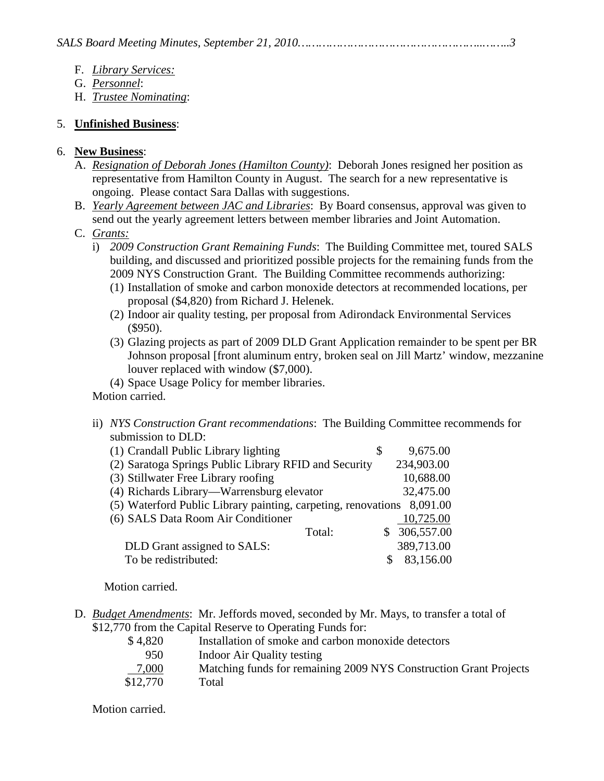- F. *Library Services:*
- G. *Personnel*:
- H. *Trustee Nominating*:

## 5. **Unfinished Business**:

### 6. **New Business**:

- A. *Resignation of Deborah Jones (Hamilton County)*: Deborah Jones resigned her position as representative from Hamilton County in August. The search for a new representative is ongoing. Please contact Sara Dallas with suggestions.
- B. *Yearly Agreement between JAC and Libraries*: By Board consensus, approval was given to send out the yearly agreement letters between member libraries and Joint Automation.
- C. *Grants:*
	- i) *2009 Construction Grant Remaining Funds*: The Building Committee met, toured SALS building, and discussed and prioritized possible projects for the remaining funds from the 2009 NYS Construction Grant. The Building Committee recommends authorizing:
		- (1) Installation of smoke and carbon monoxide detectors at recommended locations, per proposal (\$4,820) from Richard J. Helenek.
		- (2) Indoor air quality testing, per proposal from Adirondack Environmental Services (\$950).
		- (3) Glazing projects as part of 2009 DLD Grant Application remainder to be spent per BR Johnson proposal [front aluminum entry, broken seal on Jill Martz' window, mezzanine louver replaced with window (\$7,000).

(4) Space Usage Policy for member libraries.

Motion carried.

ii) *NYS Construction Grant recommendations*: The Building Committee recommends for submission to DLD:

| (1) Crandall Public Library lighting                          | \$<br>9,675.00 |
|---------------------------------------------------------------|----------------|
| (2) Saratoga Springs Public Library RFID and Security         | 234,903.00     |
| (3) Stillwater Free Library roofing                           | 10,688.00      |
| (4) Richards Library—Warrensburg elevator                     | 32,475.00      |
| (5) Waterford Public Library painting, carpeting, renovations | 8,091.00       |
| (6) SALS Data Room Air Conditioner                            | 10,725.00      |
| Total:                                                        | \$306,557.00   |
| DLD Grant assigned to SALS:                                   | 389,713.00     |
| To be redistributed:                                          | 83,156.00      |
|                                                               |                |

Motion carried.

D. *Budget Amendments*: Mr. Jeffords moved, seconded by Mr. Mays, to transfer a total of \$12,770 from the Capital Reserve to Operating Funds for:

| Installation of smoke and carbon monoxide detectors               |
|-------------------------------------------------------------------|
| Indoor Air Quality testing                                        |
| Matching funds for remaining 2009 NYS Construction Grant Projects |
| Total                                                             |
|                                                                   |

Motion carried.